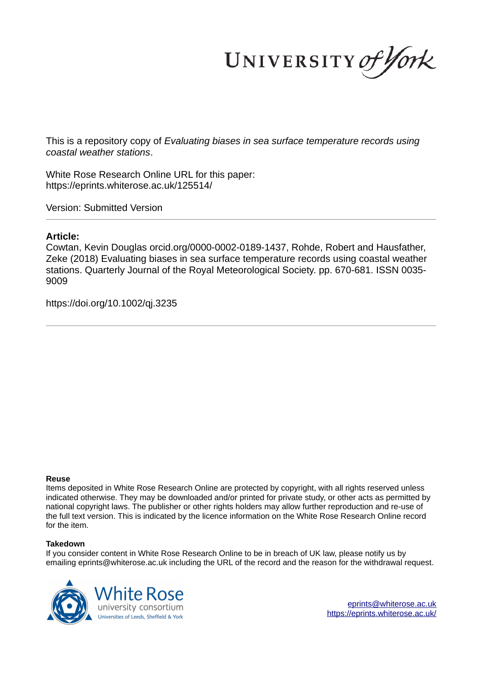UNIVERSITY of York

This is a repository copy of *Evaluating biases in sea surface temperature records using coastal weather stations*.

White Rose Research Online URL for this paper: https://eprints.whiterose.ac.uk/125514/

Version: Submitted Version

### **Article:**

Cowtan, Kevin Douglas orcid.org/0000-0002-0189-1437, Rohde, Robert and Hausfather, Zeke (2018) Evaluating biases in sea surface temperature records using coastal weather stations. Quarterly Journal of the Royal Meteorological Society. pp. 670-681. ISSN 0035- 9009

https://doi.org/10.1002/qj.3235

### **Reuse**

Items deposited in White Rose Research Online are protected by copyright, with all rights reserved unless indicated otherwise. They may be downloaded and/or printed for private study, or other acts as permitted by national copyright laws. The publisher or other rights holders may allow further reproduction and re-use of the full text version. This is indicated by the licence information on the White Rose Research Online record for the item.

### **Takedown**

If you consider content in White Rose Research Online to be in breach of UK law, please notify us by emailing eprints@whiterose.ac.uk including the URL of the record and the reason for the withdrawal request.



eprints@whiterose.ac.uk https://eprints.whiterose.ac.uk/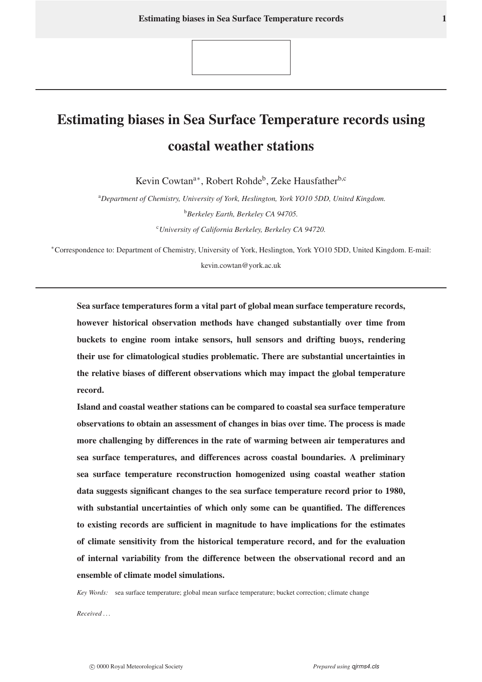# Estimating biases in Sea Surface Temperature records using coastal weather stations

Kevin Cowtan<sup>a∗</sup>, Robert Rohde<sup>b</sup>, Zeke Hausfather<sup>b,c</sup>

<sup>a</sup>*Department of Chemistry, University of York, Heslington, York YO10 5DD, United Kingdom.* <sup>b</sup>*Berkeley Earth, Berkeley CA 94705.* <sup>c</sup>*University of California Berkeley, Berkeley CA 94720.*

<sup>∗</sup>Correspondence to: Department of Chemistry, University of York, Heslington, York YO10 5DD, United Kingdom. E-mail: kevin.cowtan@york.ac.uk

Sea surface temperatures form a vital part of global mean surface temperature records, however historical observation methods have changed substantially over time from buckets to engine room intake sensors, hull sensors and drifting buoys, rendering their use for climatological studies problematic. There are substantial uncertainties in the relative biases of different observations which may impact the global temperature record.

Island and coastal weather stations can be compared to coastal sea surface temperature observations to obtain an assessment of changes in bias over time. The process is made more challenging by differences in the rate of warming between air temperatures and sea surface temperatures, and differences across coastal boundaries. A preliminary sea surface temperature reconstruction homogenized using coastal weather station data suggests significant changes to the sea surface temperature record prior to 1980, with substantial uncertainties of which only some can be quantified. The differences to existing records are sufficient in magnitude to have implications for the estimates of climate sensitivity from the historical temperature record, and for the evaluation of internal variability from the difference between the observational record and an ensemble of climate model simulations.

*Key Words:* sea surface temperature; global mean surface temperature; bucket correction; climate change

*Received . . .*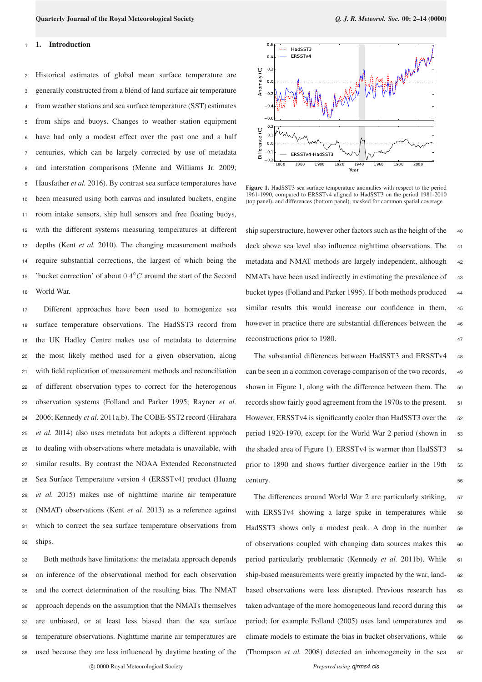### 1. Introduction

 Historical estimates of global mean surface temperature are generally constructed from a blend of land surface air temperature from weather stations and sea surface temperature (SST) estimates from ships and buoys. Changes to weather station equipment have had only a modest effect over the past one and a half centuries, which can be largely corrected by use of metadata and interstation comparisons (Menne and Williams Jr. 2009; Hausfather *et al.* 2016). By contrast sea surface temperatures have been measured using both canvas and insulated buckets, engine room intake sensors, ship hull sensors and free floating buoys, with the different systems measuring temperatures at different depths (Kent *et al.* 2010). The changing measurement methods require substantial corrections, the largest of which being the <sup>15</sup> 'bucket correction' of about  $0.4^{\circ}$ C around the start of the Second World War.

 Different approaches have been used to homogenize sea surface temperature observations. The HadSST3 record from the UK Hadley Centre makes use of metadata to determine the most likely method used for a given observation, along with field replication of measurement methods and reconciliation of different observation types to correct for the heterogenous observation systems (Folland and Parker 1995; Rayner *et al.* 2006; Kennedy *et al.* 2011a,b). The COBE-SST2 record (Hirahara *et al.* 2014) also uses metadata but adopts a different approach to dealing with observations where metadata is unavailable, with similar results. By contrast the NOAA Extended Reconstructed Sea Surface Temperature version 4 (ERSSTv4) product (Huang *et al.* 2015) makes use of nighttime marine air temperature (NMAT) observations (Kent *et al.* 2013) as a reference against which to correct the sea surface temperature observations from <sup>32</sup> ships.

 Both methods have limitations: the metadata approach depends on inference of the observational method for each observation and the correct determination of the resulting bias. The NMAT approach depends on the assumption that the NMATs themselves are unbiased, or at least less biased than the sea surface temperature observations. Nighttime marine air temperatures are used because they are less influenced by daytime heating of the



Figure 1. HadSST3 sea surface temperature anomalies with respect to the period 1961-1990, compared to ERSSTv4 aligned to HadSST3 on the period 1981-2010 (top panel), and differences (bottom panel), masked for common spatial coverage.

ship superstructure, however other factors such as the height of the 40 deck above sea level also influence nighttime observations. The 41 metadata and NMAT methods are largely independent, although <sup>42</sup> NMATs have been used indirectly in estimating the prevalence of 43 bucket types (Folland and Parker 1995). If both methods produced 44 similar results this would increase our confidence in them, 45 however in practice there are substantial differences between the 46 reconstructions prior to 1980. 47

The substantial differences between HadSST3 and ERSSTv4 48 can be seen in a common coverage comparison of the two records, <sup>49</sup> shown in Figure 1, along with the difference between them. The 50 records show fairly good agreement from the 1970s to the present. 51 However, ERSSTv4 is significantly cooler than HadSST3 over the 52 period 1920-1970, except for the World War 2 period (shown in 53 the shaded area of Figure 1). ERSSTv4 is warmer than HadSST3 54 prior to 1890 and shows further divergence earlier in the 19th <sup>55</sup> century. 56

The differences around World War 2 are particularly striking, 57 with ERSSTv4 showing a large spike in temperatures while 58 HadSST3 shows only a modest peak. A drop in the number <sup>59</sup> of observations coupled with changing data sources makes this 60 period particularly problematic (Kennedy et al. 2011b). While 61 ship-based measurements were greatly impacted by the war, land- 62 based observations were less disrupted. Previous research has 63 taken advantage of the more homogeneous land record during this 64 period; for example Folland (2005) uses land temperatures and 65 climate models to estimate the bias in bucket observations, while 66 (Thompson *et al.* 2008) detected an inhomogeneity in the sea 67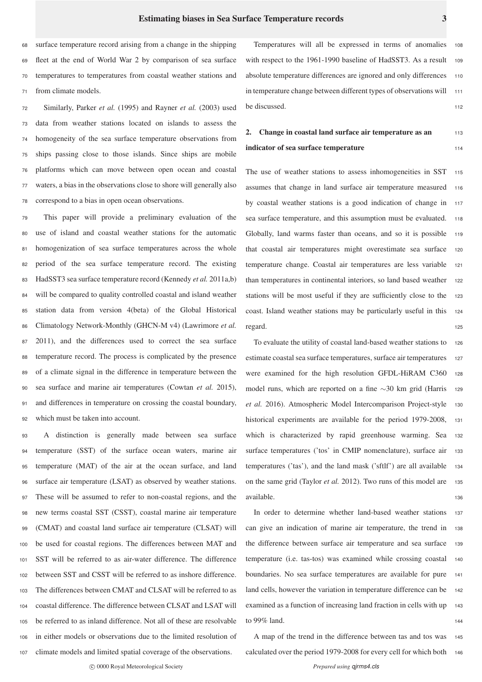surface temperature record arising from a change in the shipping fleet at the end of World War 2 by comparison of sea surface temperatures to temperatures from coastal weather stations and from climate models.

 Similarly, Parker *et al.* (1995) and Rayner *et al.* (2003) used data from weather stations located on islands to assess the homogeneity of the sea surface temperature observations from ships passing close to those islands. Since ships are mobile platforms which can move between open ocean and coastal waters, a bias in the observations close to shore will generally also correspond to a bias in open ocean observations.

 This paper will provide a preliminary evaluation of the use of island and coastal weather stations for the automatic homogenization of sea surface temperatures across the whole period of the sea surface temperature record. The existing HadSST3 sea surface temperature record (Kennedy *et al.* 2011a,b) will be compared to quality controlled coastal and island weather station data from version 4(beta) of the Global Historical Climatology Network-Monthly (GHCN-M v4) (Lawrimore *et al.* 2011), and the differences used to correct the sea surface temperature record. The process is complicated by the presence of a climate signal in the difference in temperature between the sea surface and marine air temperatures (Cowtan *et al.* 2015), and differences in temperature on crossing the coastal boundary, which must be taken into account.

 A distinction is generally made between sea surface temperature (SST) of the surface ocean waters, marine air temperature (MAT) of the air at the ocean surface, and land surface air temperature (LSAT) as observed by weather stations. These will be assumed to refer to non-coastal regions, and the new terms coastal SST (CSST), coastal marine air temperature (CMAT) and coastal land surface air temperature (CLSAT) will be used for coastal regions. The differences between MAT and SST will be referred to as air-water difference. The difference between SST and CSST will be referred to as inshore difference. The differences between CMAT and CLSAT will be referred to as coastal difference. The difference between CLSAT and LSAT will be referred to as inland difference. Not all of these are resolvable in either models or observations due to the limited resolution of climate models and limited spatial coverage of the observations.

Temperatures will all be expressed in terms of anomalies with respect to the 1961-1990 baseline of HadSST3. As a result 109 absolute temperature differences are ignored and only differences 110 in temperature change between different types of observations will 111 be discussed. 112

# 2. Change in coastal land surface air temperature as an  $113$ indicator of sea surface temperature 114

The use of weather stations to assess inhomogeneities in SST 115 assumes that change in land surface air temperature measured <sup>116</sup> by coastal weather stations is a good indication of change in <sup>117</sup> sea surface temperature, and this assumption must be evaluated. 118 Globally, land warms faster than oceans, and so it is possible 119 that coastal air temperatures might overestimate sea surface <sup>120</sup> temperature change. Coastal air temperatures are less variable <sup>121</sup> than temperatures in continental interiors, so land based weather 122 stations will be most useful if they are sufficiently close to the <sup>123</sup> coast. Island weather stations may be particularly useful in this <sup>124</sup> regard. the contract of the contract of the contract of the contract of the contract of the contract of the contract of the contract of the contract of the contract of the contract of the contract of the contract of the co

To evaluate the utility of coastal land-based weather stations to <sup>126</sup> estimate coastal sea surface temperatures, surface air temperatures 127 were examined for the high resolution GFDL-HiRAM C360 <sup>128</sup> model runs, which are reported on a fine ∼30 km grid (Harris <sup>129</sup> *et al.* 2016). Atmospheric Model Intercomparison Project-style <sup>130</sup> historical experiments are available for the period 1979-2008, <sup>131</sup> which is characterized by rapid greenhouse warming. Sea <sup>132</sup> surface temperatures ('tos' in CMIP nomenclature), surface air 133 temperatures ('tas'), and the land mask ('sftlf') are all available <sup>134</sup> on the same grid (Taylor *et al.* 2012). Two runs of this model are 135 available. 136

In order to determine whether land-based weather stations <sup>137</sup> can give an indication of marine air temperature, the trend in <sup>138</sup> the difference between surface air temperature and sea surface 139 temperature (i.e. tas-tos) was examined while crossing coastal <sup>140</sup> boundaries. No sea surface temperatures are available for pure <sup>141</sup> land cells, however the variation in temperature difference can be 142 examined as a function of increasing land fraction in cells with up 143 to  $99\%$  land.

A map of the trend in the difference between tas and tos was <sup>145</sup> calculated over the period 1979-2008 for every cell for which both 146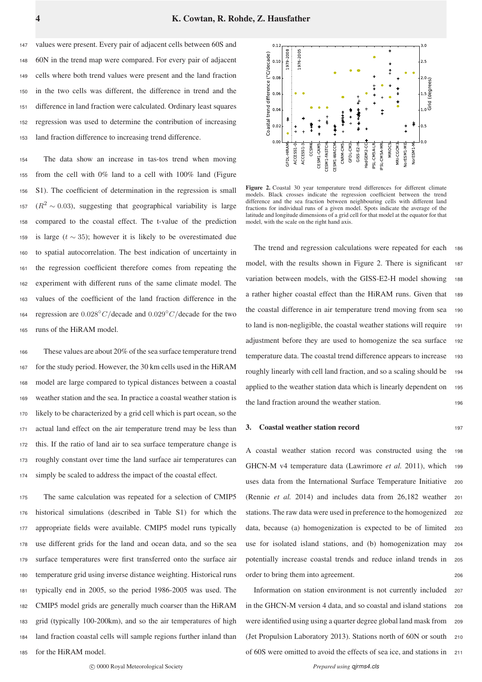values were present. Every pair of adjacent cells between 60S and 60N in the trend map were compared. For every pair of adjacent cells where both trend values were present and the land fraction in the two cells was different, the difference in trend and the difference in land fraction were calculated. Ordinary least squares regression was used to determine the contribution of increasing land fraction difference to increasing trend difference.

 The data show an increase in tas-tos trend when moving from the cell with 0% land to a cell with 100% land (Figure S1). The coefficient of determination in the regression is small  $(R^2 \sim 0.03)$ , suggesting that geographical variability is large compared to the coastal effect. The t-value of the prediction 159 is large ( $t \sim 35$ ); however it is likely to be overestimated due to spatial autocorrelation. The best indication of uncertainty in the regression coefficient therefore comes from repeating the experiment with different runs of the same climate model. The values of the coefficient of the land fraction difference in the 164 regression are  $0.028 °C/\text{decade}$  and  $0.029 °C/\text{decade}$  for the two runs of the HiRAM model.

 These values are about 20% of the sea surface temperature trend for the study period. However, the 30 km cells used in the HiRAM model are large compared to typical distances between a coastal weather station and the sea. In practice a coastal weather station is likely to be characterized by a grid cell which is part ocean, so the actual land effect on the air temperature trend may be less than this. If the ratio of land air to sea surface temperature change is roughly constant over time the land surface air temperatures can simply be scaled to address the impact of the coastal effect.

 The same calculation was repeated for a selection of CMIP5 historical simulations (described in Table S1) for which the appropriate fields were available. CMIP5 model runs typically use different grids for the land and ocean data, and so the sea surface temperatures were first transferred onto the surface air temperature grid using inverse distance weighting. Historical runs typically end in 2005, so the period 1986-2005 was used. The CMIP5 model grids are generally much coarser than the HiRAM grid (typically 100-200km), and so the air temperatures of high land fraction coastal cells will sample regions further inland than for the HiRAM model.



Figure 2. Coastal 30 year temperature trend differences for different climate models. Black crosses indicate the regression coefficient between the trend difference and the sea fraction between neighbouring cells with different land fractions for individual runs of a given model. Spots indicate the average of the latitude and longitude dimensions of a grid cell for that model at the equator for that model, with the scale on the right hand axis.

The trend and regression calculations were repeated for each <sup>186</sup> model, with the results shown in Figure 2. There is significant 187 variation between models, with the GISS-E2-H model showing 188 a rather higher coastal effect than the HiRAM runs. Given that <sup>189</sup> the coastal difference in air temperature trend moving from sea <sup>190</sup> to land is non-negligible, the coastal weather stations will require <sup>191</sup> adjustment before they are used to homogenize the sea surface <sup>192</sup> temperature data. The coastal trend difference appears to increase 193 roughly linearly with cell land fraction, and so a scaling should be <sup>194</sup> applied to the weather station data which is linearly dependent on 195 the land fraction around the weather station.

### 3. Coastal weather station record 197

A coastal weather station record was constructed using the <sup>198</sup> GHCN-M v4 temperature data (Lawrimore *et al.* 2011), which 199 uses data from the International Surface Temperature Initiative <sup>200</sup> (Rennie *et al.* 2014) and includes data from 26,182 weather <sup>201</sup> stations. The raw data were used in preference to the homogenized 202 data, because (a) homogenization is expected to be of limited <sup>203</sup> use for isolated island stations, and (b) homogenization may <sup>204</sup> potentially increase coastal trends and reduce inland trends in <sup>205</sup> order to bring them into agreement.

Information on station environment is not currently included <sup>207</sup> in the GHCN-M version 4 data, and so coastal and island stations <sup>208</sup> were identified using using a quarter degree global land mask from <sup>209</sup> (Jet Propulsion Laboratory 2013). Stations north of 60N or south <sup>210</sup> of 60S were omitted to avoid the effects of sea ice, and stations in <sup>211</sup>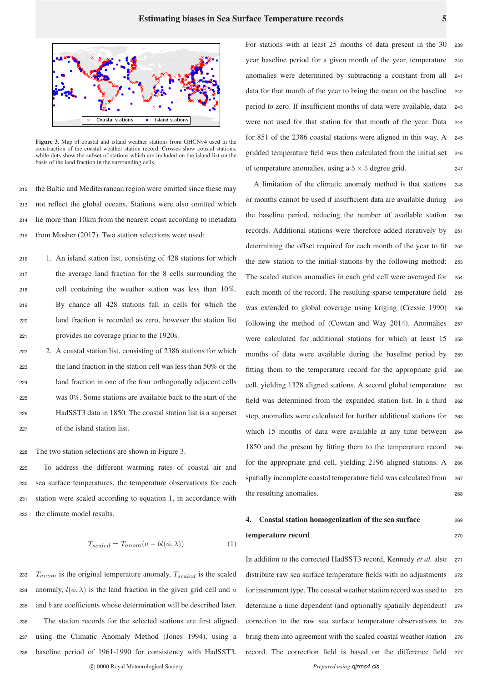

Figure 3. Map of coastal and island weather stations from GHCNv4 used in the construction of the coastal weather station record. Crosses show coastal stations, while dots show the subset of stations which are included on the island list on the basis of the land fraction in the surrounding cells.

 the Baltic and Mediterranean region were omitted since these may not reflect the global oceans. Stations were also omitted which lie more than 10km from the nearest coast according to metadata from Mosher (2017). Two station selections were used:

 1. An island station list, consisting of 428 stations for which the average land fraction for the 8 cells surrounding the cell containing the weather station was less than 10%. By chance all 428 stations fall in cells for which the land fraction is recorded as zero, however the station list provides no coverage prior to the 1920s.

 2. A coastal station list, consisting of 2386 stations for which the land fraction in the station cell was less than 50% or the land fraction in one of the four orthogonally adjacent cells was 0%. Some stations are available back to the start of the HadSST3 data in 1850. The coastal station list is a superset of the island station list.

<sup>228</sup> The two station selections are shown in Figure 3.

 To address the different warming rates of coastal air and sea surface temperatures, the temperature observations for each station were scaled according to equation 1, in accordance with the climate model results.

$$
T_{scaled} = T_{anom}(a - bl(\phi, \lambda))
$$
 (1)

 $T_{anom}$  is the original temperature anomaly,  $T_{scaled}$  is the scaled 234 anomaly,  $l(\phi, \lambda)$  is the land fraction in the given grid cell and a and b are coefficients whose determination will be described later. The station records for the selected stations are first aligned using the Climatic Anomaly Method (Jones 1994), using a baseline period of 1961-1990 for consistency with HadSST3.

c 0000 Royal Meteorological Society *Prepared using qjrms4.cls*

For stations with at least  $25$  months of data present in the  $30$ year baseline period for a given month of the year, temperature <sup>240</sup> anomalies were determined by subtracting a constant from all <sup>241</sup> data for that month of the year to bring the mean on the baseline 242 period to zero. If insufficient months of data were available, data <sup>243</sup> were not used for that station for that month of the year. Data <sup>244</sup> for 851 of the 2386 coastal stations were aligned in this way. A <sup>245</sup> gridded temperature field was then calculated from the initial set <sup>246</sup> of temperature anomalies, using a  $5 \times 5$  degree grid. 247

A limitation of the climatic anomaly method is that stations <sup>248</sup> or months cannot be used if insufficient data are available during <sup>249</sup> the baseline period, reducing the number of available station <sup>250</sup> records. Additional stations were therefore added iteratively by <sup>251</sup> determining the offset required for each month of the year to fit 252 the new station to the initial stations by the following method: <sup>253</sup> The scaled station anomalies in each grid cell were averaged for <sup>254</sup> each month of the record. The resulting sparse temperature field 255 was extended to global coverage using kriging (Cressie 1990) <sup>256</sup> following the method of (Cowtan and Way 2014). Anomalies 257 were calculated for additional stations for which at least 15 <sup>258</sup> months of data were available during the baseline period by <sup>259</sup> fitting them to the temperature record for the appropriate grid <sup>260</sup> cell, yielding 1328 aligned stations. A second global temperature <sup>261</sup> field was determined from the expanded station list. In a third <sup>262</sup> step, anomalies were calculated for further additional stations for <sup>263</sup> which 15 months of data were available at any time between <sup>264</sup> 1850 and the present by fitting them to the temperature record <sup>265</sup> for the appropriate grid cell, yielding 2196 aligned stations. A <sup>266</sup> spatially incomplete coastal temperature field was calculated from 267 the resulting anomalies. <sup>268</sup>

# 4. Coastal station homogenization of the sea surface 269 temperature record 270

In addition to the corrected HadSST3 record, Kennedy *et al.* also <sup>271</sup> distribute raw sea surface temperature fields with no adjustments 272 for instrument type. The coastal weather station record was used to 273 determine a time dependent (and optionally spatially dependent) <sup>274</sup> correction to the raw sea surface temperature observations to <sup>275</sup> bring them into agreement with the scaled coastal weather station 276 record. The correction field is based on the difference field <sup>277</sup>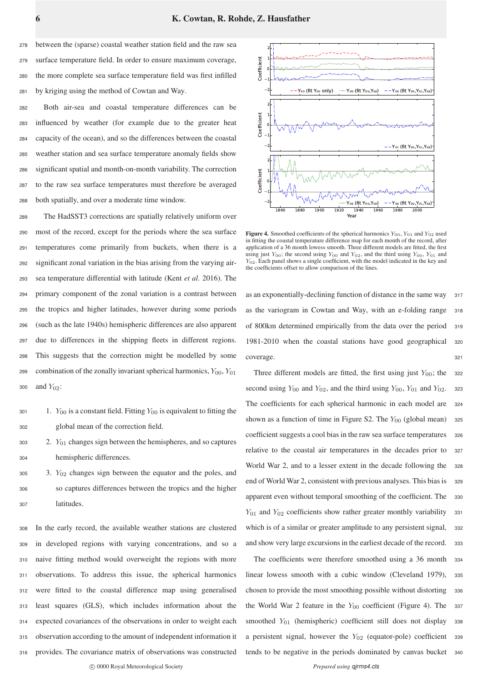between the (sparse) coastal weather station field and the raw sea surface temperature field. In order to ensure maximum coverage, the more complete sea surface temperature field was first infilled by kriging using the method of Cowtan and Way.

 Both air-sea and coastal temperature differences can be influenced by weather (for example due to the greater heat capacity of the ocean), and so the differences between the coastal weather station and sea surface temperature anomaly fields show significant spatial and month-on-month variability. The correction to the raw sea surface temperatures must therefore be averaged both spatially, and over a moderate time window.

 The HadSST3 corrections are spatially relatively uniform over most of the record, except for the periods where the sea surface temperatures come primarily from buckets, when there is a significant zonal variation in the bias arising from the varying air- sea temperature differential with latitude (Kent *et al.* 2016). The primary component of the zonal variation is a contrast between the tropics and higher latitudes, however during some periods (such as the late 1940s) hemispheric differences are also apparent due to differences in the shipping fleets in different regions. This suggests that the correction might be modelled by some 299 combination of the zonally invariant spherical harmonics,  $Y_{00}$ ,  $Y_{01}$ and  $Y_{02}$ :

```
301 1. Y_{00} is a constant field. Fitting Y_{00} is equivalent to fitting the
302 global mean of the correction field.
```
 $303$  2.  $Y_{01}$  changes sign between the hemispheres, and so captures <sup>304</sup> hemispheric differences.

 $305$  3.  $Y_{02}$  changes sign between the equator and the poles, and <sup>306</sup> so captures differences between the tropics and the higher <sup>307</sup> latitudes.

 In the early record, the available weather stations are clustered in developed regions with varying concentrations, and so a naive fitting method would overweight the regions with more observations. To address this issue, the spherical harmonics were fitted to the coastal difference map using generalised least squares (GLS), which includes information about the expected covariances of the observations in order to weight each observation according to the amount of independent information it provides. The covariance matrix of observations was constructed



Figure 4. Smoothed coefficients of the spherical harmonics  $Y_{00}$ ,  $Y_{01}$  and  $Y_{02}$  used in fitting the coastal temperature difference map for each month of the record, after application of a 36 month lowess smooth. Three different models are fitted, the first using just  $Y_{00}$ ; the second using  $Y_{00}$  and  $Y_{02}$ , and the third using  $Y_{00}$ ,  $Y_{01}$  and  $Y_{02}$ . Each panel shows a single coefficient, with the model indicated in the key and the coefficients offset to allow comparison of the lines.

as an exponentially-declining function of distance in the same way 317 as the variogram in Cowtan and Way, with an e-folding range <sup>318</sup> of 800km determined empirically from the data over the period <sup>319</sup> 1981-2010 when the coastal stations have good geographical <sup>320</sup> coverage. 321

Three different models are fitted, the first using just  $Y_{00}$ ; the 322 second using  $Y_{00}$  and  $Y_{02}$ , and the third using  $Y_{00}$ ,  $Y_{01}$  and  $Y_{02}$ . 323 The coefficients for each spherical harmonic in each model are <sup>324</sup> shown as a function of time in Figure S2. The  $Y_{00}$  (global mean) 325 coefficient suggests a cool bias in the raw sea surface temperatures 326 relative to the coastal air temperatures in the decades prior to <sup>327</sup> World War 2, and to a lesser extent in the decade following the 328 end of World War 2, consistent with previous analyses. This bias is 329 apparent even without temporal smoothing of the coefficient. The 330  $Y_{01}$  and  $Y_{02}$  coefficients show rather greater monthly variability 331 which is of a similar or greater amplitude to any persistent signal, 332 and show very large excursions in the earliest decade of the record. 333

The coefficients were therefore smoothed using a 36 month 334 linear lowess smooth with a cubic window (Cleveland 1979), <sup>335</sup> chosen to provide the most smoothing possible without distorting 336 the World War 2 feature in the  $Y_{00}$  coefficient (Figure 4). The 337 smoothed  $Y_{01}$  (hemispheric) coefficient still does not display 338 a persistent signal, however the  $Y_{02}$  (equator-pole) coefficient 339 tends to be negative in the periods dominated by canvas bucket <sup>340</sup>

c 0000 Royal Meteorological Society *Prepared using qirms4.cls*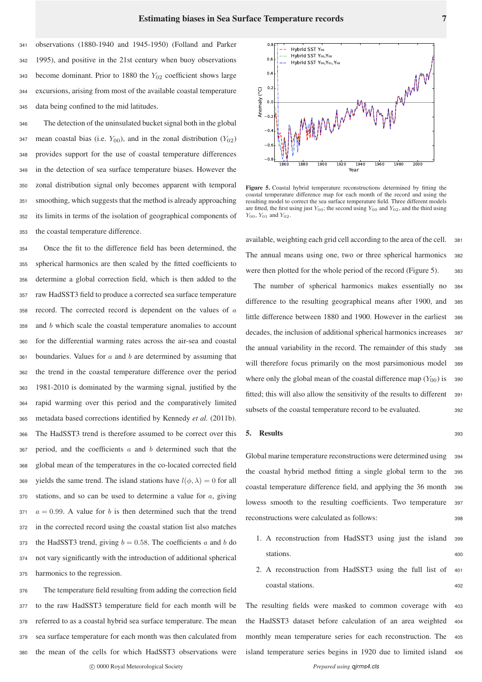observations (1880-1940 and 1945-1950) (Folland and Parker 1995), and positive in the 21st century when buoy observations 343 become dominant. Prior to 1880 the  $Y_{02}$  coefficient shows large excursions, arising from most of the available coastal temperature data being confined to the mid latitudes.

 The detection of the uninsulated bucket signal both in the global 347 mean coastal bias (i.e.  $Y_{00}$ ), and in the zonal distribution  $(Y_{02})$  provides support for the use of coastal temperature differences in the detection of sea surface temperature biases. However the zonal distribution signal only becomes apparent with temporal smoothing, which suggests that the method is already approaching its limits in terms of the isolation of geographical components of the coastal temperature difference.

 Once the fit to the difference field has been determined, the spherical harmonics are then scaled by the fitted coefficients to determine a global correction field, which is then added to the raw HadSST3 field to produce a corrected sea surface temperature record. The corrected record is dependent on the values of a and b which scale the coastal temperature anomalies to account for the differential warming rates across the air-sea and coastal boundaries. Values for  $a$  and  $b$  are determined by assuming that the trend in the coastal temperature difference over the period 1981-2010 is dominated by the warming signal, justified by the rapid warming over this period and the comparatively limited metadata based corrections identified by Kennedy *et al.* (2011b). The HadSST3 trend is therefore assumed to be correct over this period, and the coefficients a and b determined such that the global mean of the temperatures in the co-located corrected field 369 yields the same trend. The island stations have  $l(\phi, \lambda) = 0$  for all stations, and so can be used to determine a value for  $a$ , giving  $371 \quad a = 0.99$ . A value for b is then determined such that the trend in the corrected record using the coastal station list also matches 373 the HadSST3 trend, giving  $b = 0.58$ . The coefficients a and b do not vary significantly with the introduction of additional spherical harmonics to the regression.

 The temperature field resulting from adding the correction field to the raw HadSST3 temperature field for each month will be referred to as a coastal hybrid sea surface temperature. The mean sea surface temperature for each month was then calculated from the mean of the cells for which HadSST3 observations were



Figure 5. Coastal hybrid temperature reconstructions determined by fitting the coastal temperature difference map for each month of the record and using the resulting model to correct the sea surface temperature field. Three different models are fitted, the first using just  $Y_{00}$ ; the second using  $Y_{00}$  and  $Y_{02}$ , and the third using  $Y_{00}$ ,  $Y_{01}$  and  $Y_{02}$ .

available, weighting each grid cell according to the area of the cell. <sup>381</sup> The annual means using one, two or three spherical harmonics <sup>382</sup> were then plotted for the whole period of the record (Figure 5). 383

The number of spherical harmonics makes essentially no <sup>384</sup> difference to the resulting geographical means after 1900, and <sup>385</sup> little difference between 1880 and 1900. However in the earliest <sup>386</sup> decades, the inclusion of additional spherical harmonics increases 387 the annual variability in the record. The remainder of this study <sup>388</sup> will therefore focus primarily on the most parsimonious model <sup>389</sup> where only the global mean of the coastal difference map  $(Y_{00})$  is 390 fitted; this will also allow the sensitivity of the results to different 391 subsets of the coastal temperature record to be evaluated. 392

#### 5. Results <sup>393</sup>

Global marine temperature reconstructions were determined using 394 the coastal hybrid method fitting a single global term to the <sup>395</sup> coastal temperature difference field, and applying the 36 month <sup>396</sup> lowess smooth to the resulting coefficients. Two temperature 397 reconstructions were calculated as follows: <sup>398</sup>

- 1. A reconstruction from HadSST3 using just the island <sup>399</sup> stations. 400
- 2. A reconstruction from HadSST3 using the full list of <sup>401</sup> coastal stations. <sup>402</sup>

The resulting fields were masked to common coverage with <sup>403</sup> the HadSST3 dataset before calculation of an area weighted <sup>404</sup> monthly mean temperature series for each reconstruction. The <sup>405</sup> island temperature series begins in 1920 due to limited island <sup>406</sup>

c 0000 Royal Meteorological Society *Prepared using qjrms4.cls*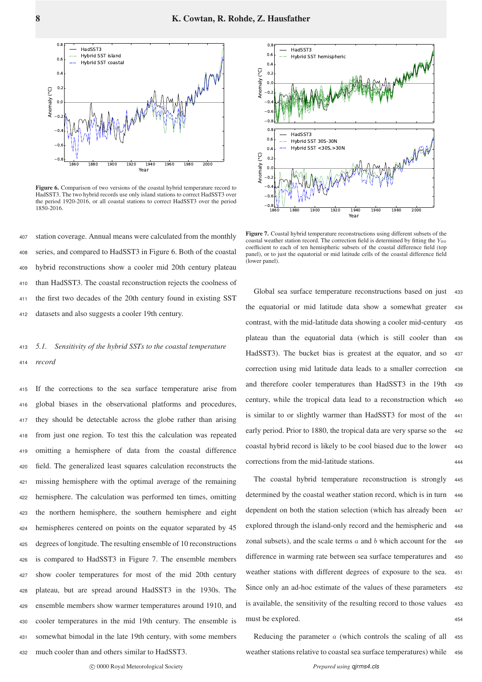

Figure 6. Comparison of two versions of the coastal hybrid temperature record to HadSST3. The two hybrid records use only island stations to correct HadSST3 over the period 1920-2016, or all coastal stations to correct HadSST3 over the period 1850-2016.

 station coverage. Annual means were calculated from the monthly series, and compared to HadSST3 in Figure 6. Both of the coastal hybrid reconstructions show a cooler mid 20th century plateau than HadSST3. The coastal reconstruction rejects the coolness of the first two decades of the 20th century found in existing SST datasets and also suggests a cooler 19th century.

## <sup>413</sup> *5.1. Sensitivity of the hybrid SSTs to the coastal temperature* <sup>414</sup> *record*

 If the corrections to the sea surface temperature arise from global biases in the observational platforms and procedures, they should be detectable across the globe rather than arising from just one region. To test this the calculation was repeated omitting a hemisphere of data from the coastal difference field. The generalized least squares calculation reconstructs the missing hemisphere with the optimal average of the remaining hemisphere. The calculation was performed ten times, omitting the northern hemisphere, the southern hemisphere and eight hemispheres centered on points on the equator separated by 45 degrees of longitude. The resulting ensemble of 10 reconstructions is compared to HadSST3 in Figure 7. The ensemble members show cooler temperatures for most of the mid 20th century plateau, but are spread around HadSST3 in the 1930s. The ensemble members show warmer temperatures around 1910, and cooler temperatures in the mid 19th century. The ensemble is somewhat bimodal in the late 19th century, with some members much cooler than and others similar to HadSST3.



Figure 7. Coastal hybrid temperature reconstructions using different subsets of the coastal weather station record. The correction field is determined by fitting the  $Y_{00}$ coefficient to each of ten hemispheric subsets of the coastal difference field (top panel), or to just the equatorial or mid latitude cells of the coastal difference field (lower panel).

Global sea surface temperature reconstructions based on just 433 the equatorial or mid latitude data show a somewhat greater <sup>434</sup> contrast, with the mid-latitude data showing a cooler mid-century 435 plateau than the equatorial data (which is still cooler than <sup>436</sup> HadSST3). The bucket bias is greatest at the equator, and so <sup>437</sup> correction using mid latitude data leads to a smaller correction <sup>438</sup> and therefore cooler temperatures than HadSST3 in the 19th <sup>439</sup> century, while the tropical data lead to a reconstruction which <sup>440</sup> is similar to or slightly warmer than HadSST3 for most of the <sup>441</sup> early period. Prior to 1880, the tropical data are very sparse so the 442 coastal hybrid record is likely to be cool biased due to the lower 443 corrections from the mid-latitude stations. <sup>444</sup>

The coastal hybrid temperature reconstruction is strongly <sup>445</sup> determined by the coastal weather station record, which is in turn 446 dependent on both the station selection (which has already been 447 explored through the island-only record and the hemispheric and 448 zonal subsets), and the scale terms  $\alpha$  and  $\beta$  which account for the 449 difference in warming rate between sea surface temperatures and <sup>450</sup> weather stations with different degrees of exposure to the sea. <sup>451</sup> Since only an ad-hoc estimate of the values of these parameters 452 is available, the sensitivity of the resulting record to those values 453 must be explored. 454

Reducing the parameter  $a$  (which controls the scaling of all  $455$ weather stations relative to coastal sea surface temperatures) while 456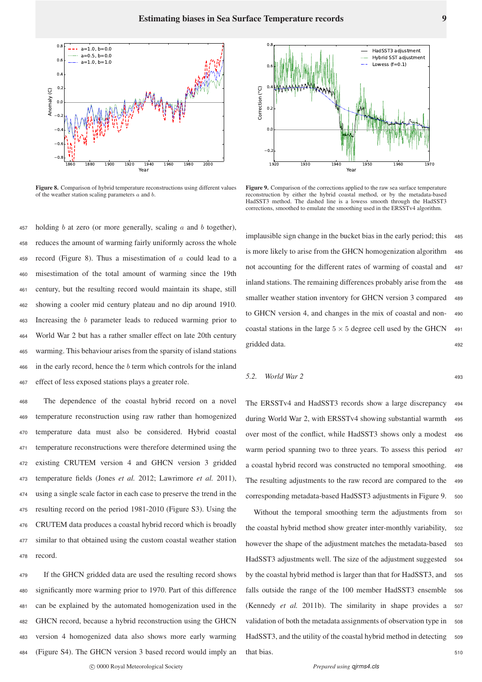

Figure 8. Comparison of hybrid temperature reconstructions using different values of the weather station scaling parameters  $a$  and  $b$ .

457 holding b at zero (or more generally, scaling a and b together). reduces the amount of warming fairly uniformly across the whole 459 record (Figure 8). Thus a misestimation of  $a$  could lead to a misestimation of the total amount of warming since the 19th century, but the resulting record would maintain its shape, still showing a cooler mid century plateau and no dip around 1910. Increasing the b parameter leads to reduced warming prior to World War 2 but has a rather smaller effect on late 20th century warming. This behaviour arises from the sparsity of island stations in the early record, hence the b term which controls for the inland effect of less exposed stations plays a greater role.

 The dependence of the coastal hybrid record on a novel temperature reconstruction using raw rather than homogenized temperature data must also be considered. Hybrid coastal temperature reconstructions were therefore determined using the existing CRUTEM version 4 and GHCN version 3 gridded temperature fields (Jones *et al.* 2012; Lawrimore *et al.* 2011), using a single scale factor in each case to preserve the trend in the resulting record on the period 1981-2010 (Figure S3). Using the CRUTEM data produces a coastal hybrid record which is broadly similar to that obtained using the custom coastal weather station <sup>478</sup> record.

 If the GHCN gridded data are used the resulting record shows significantly more warming prior to 1970. Part of this difference can be explained by the automated homogenization used in the GHCN record, because a hybrid reconstruction using the GHCN version 4 homogenized data also shows more early warming (Figure S4). The GHCN version 3 based record would imply an



Figure 9. Comparison of the corrections applied to the raw sea surface temperature reconstruction by either the hybrid coastal method, or by the metadata-based HadSST3 method. The dashed line is a lowess smooth through the HadSST3 corrections, smoothed to emulate the smoothing used in the ERSSTv4 algorithm.

implausible sign change in the bucket bias in the early period; this 485 is more likely to arise from the GHCN homogenization algorithm 486 not accounting for the different rates of warming of coastal and <sup>487</sup> inland stations. The remaining differences probably arise from the <sup>488</sup> smaller weather station inventory for GHCN version 3 compared 489 to GHCN version 4, and changes in the mix of coastal and non- <sup>490</sup> coastal stations in the large  $5 \times 5$  degree cell used by the GHCN 491 gridded data. 492

$$
5.2. \quad World War 2 \tag{493}
$$

The ERSSTv4 and HadSST3 records show a large discrepancy <sup>494</sup> during World War 2, with ERSSTv4 showing substantial warmth 495 over most of the conflict, while HadSST3 shows only a modest <sup>496</sup> warm period spanning two to three years. To assess this period <sup>497</sup> a coastal hybrid record was constructed no temporal smoothing. <sup>498</sup> The resulting adjustments to the raw record are compared to the 499 corresponding metadata-based HadSST3 adjustments in Figure 9. <sup>500</sup>

Without the temporal smoothing term the adjustments from <sup>501</sup> the coastal hybrid method show greater inter-monthly variability, <sup>502</sup> however the shape of the adjustment matches the metadata-based 503 HadSST3 adjustments well. The size of the adjustment suggested 504 by the coastal hybrid method is larger than that for HadSST3, and 505 falls outside the range of the 100 member HadSST3 ensemble 506 (Kennedy *et al.* 2011b). The similarity in shape provides a 507 validation of both the metadata assignments of observation type in 508 HadSST3, and the utility of the coastal hybrid method in detecting 509 that bias. 510

c 0000 Royal Meteorological Society *Prepared using qjrms4.cls*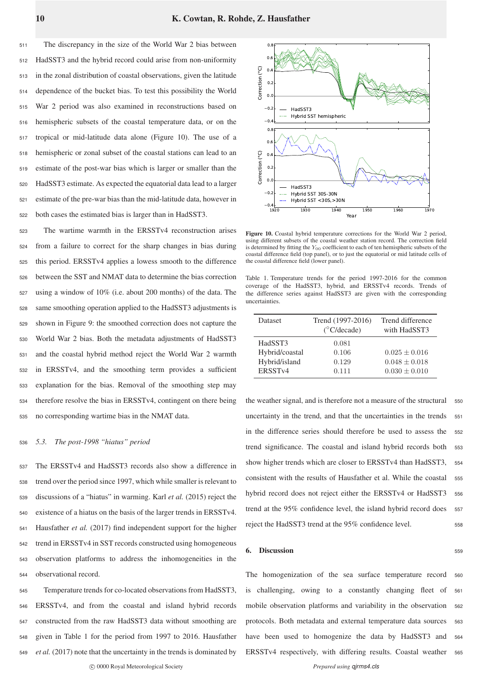The discrepancy in the size of the World War 2 bias between HadSST3 and the hybrid record could arise from non-uniformity in the zonal distribution of coastal observations, given the latitude dependence of the bucket bias. To test this possibility the World War 2 period was also examined in reconstructions based on hemispheric subsets of the coastal temperature data, or on the tropical or mid-latitude data alone (Figure 10). The use of a hemispheric or zonal subset of the coastal stations can lead to an estimate of the post-war bias which is larger or smaller than the HadSST3 estimate. As expected the equatorial data lead to a larger estimate of the pre-war bias than the mid-latitude data, however in both cases the estimated bias is larger than in HadSST3.

 The wartime warmth in the ERSSTv4 reconstruction arises from a failure to correct for the sharp changes in bias during this period. ERSSTv4 applies a lowess smooth to the difference between the SST and NMAT data to determine the bias correction using a window of 10% (i.e. about 200 months) of the data. The same smoothing operation applied to the HadSST3 adjustments is shown in Figure 9: the smoothed correction does not capture the World War 2 bias. Both the metadata adjustments of HadSST3 and the coastal hybrid method reject the World War 2 warmth in ERSSTv4, and the smoothing term provides a sufficient explanation for the bias. Removal of the smoothing step may therefore resolve the bias in ERSSTv4, contingent on there being no corresponding wartime bias in the NMAT data.

### <sup>536</sup> *5.3. The post-1998 "hiatus" period*

 The ERSSTv4 and HadSST3 records also show a difference in trend over the period since 1997, which while smaller is relevant to discussions of a "hiatus" in warming. Karl *et al.* (2015) reject the existence of a hiatus on the basis of the larger trends in ERSSTv4. Hausfather *et al.* (2017) find independent support for the higher trend in ERSSTv4 in SST records constructed using homogeneous observation platforms to address the inhomogeneities in the observational record.

 Temperature trends for co-located observations from HadSST3, ERSSTv4, and from the coastal and island hybrid records constructed from the raw HadSST3 data without smoothing are given in Table 1 for the period from 1997 to 2016. Hausfather *et al.* (2017) note that the uncertainty in the trends is dominated by



Figure 10. Coastal hybrid temperature corrections for the World War 2 period, using different subsets of the coastal weather station record. The correction field is determined by fitting the  $Y_{00}$  coefficient to each of ten hemispheric subsets of the coastal difference field (top panel), or to just the equatorial or mid latitude cells of the coastal difference field (lower panel).

Table 1. Temperature trends for the period 1997-2016 for the common coverage of the HadSST3, hybrid, and ERSSTv4 records. Trends of the difference series against HadSST3 are given with the corresponding uncertainties.

| <b>Dataset</b>      | Trend (1997-2016)<br>$(^{\circ}$ C/decade) | Trend difference<br>with HadSST3 |
|---------------------|--------------------------------------------|----------------------------------|
| HadSST3             | 0.081                                      |                                  |
| Hybrid/coastal      | 0.106                                      | $0.025 + 0.016$                  |
| Hybrid/island       | 0.129                                      | $0.048 \pm 0.018$                |
| ERSST <sub>v4</sub> | 0.111                                      | $0.030 \pm 0.010$                |

the weather signal, and is therefore not a measure of the structural 550 uncertainty in the trend, and that the uncertainties in the trends 551 in the difference series should therefore be used to assess the <sup>552</sup> trend significance. The coastal and island hybrid records both <sup>553</sup> show higher trends which are closer to ERSSTv4 than HadSST3, 554 consistent with the results of Hausfather et al. While the coastal <sup>555</sup> hybrid record does not reject either the ERSSTv4 or HadSST3 556 trend at the 95% confidence level, the island hybrid record does 557 reject the HadSST3 trend at the 95% confidence level. 558

### **6. Discussion** 559

The homogenization of the sea surface temperature record <sup>560</sup> is challenging, owing to a constantly changing fleet of <sup>561</sup> mobile observation platforms and variability in the observation <sup>562</sup> protocols. Both metadata and external temperature data sources <sup>563</sup> have been used to homogenize the data by HadSST3 and 564 ERSSTv4 respectively, with differing results. Coastal weather <sup>565</sup>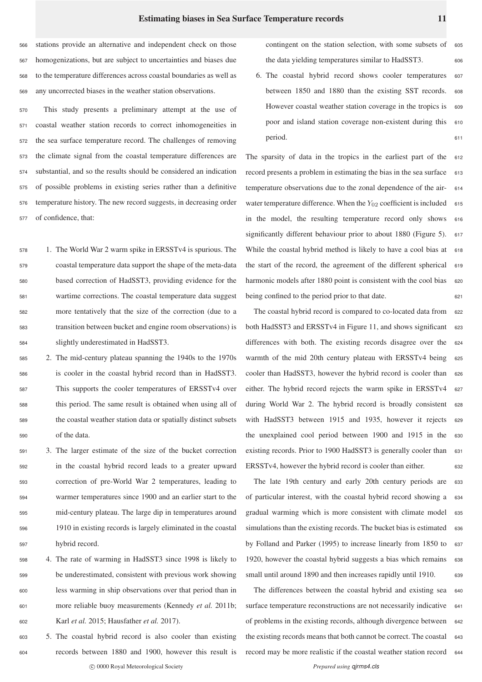stations provide an alternative and independent check on those homogenizations, but are subject to uncertainties and biases due to the temperature differences across coastal boundaries as well as any uncorrected biases in the weather station observations.

 This study presents a preliminary attempt at the use of coastal weather station records to correct inhomogeneities in the sea surface temperature record. The challenges of removing the climate signal from the coastal temperature differences are substantial, and so the results should be considered an indication of possible problems in existing series rather than a definitive temperature history. The new record suggests, in decreasing order of confidence, that:

 1. The World War 2 warm spike in ERSSTv4 is spurious. The coastal temperature data support the shape of the meta-data based correction of HadSST3, providing evidence for the wartime corrections. The coastal temperature data suggest more tentatively that the size of the correction (due to a transition between bucket and engine room observations) is slightly underestimated in HadSST3.

 2. The mid-century plateau spanning the 1940s to the 1970s is cooler in the coastal hybrid record than in HadSST3. This supports the cooler temperatures of ERSSTv4 over this period. The same result is obtained when using all of the coastal weather station data or spatially distinct subsets of the data.

 3. The larger estimate of the size of the bucket correction in the coastal hybrid record leads to a greater upward correction of pre-World War 2 temperatures, leading to warmer temperatures since 1900 and an earlier start to the mid-century plateau. The large dip in temperatures around 1910 in existing records is largely eliminated in the coastal hybrid record.

 4. The rate of warming in HadSST3 since 1998 is likely to be underestimated, consistent with previous work showing less warming in ship observations over that period than in more reliable buoy measurements (Kennedy *et al.* 2011b; Karl *et al.* 2015; Hausfather *et al.* 2017).

<sup>603</sup> 5. The coastal hybrid record is also cooler than existing <sup>604</sup> records between 1880 and 1900, however this result is c 0000 Royal Meteorological Society *Prepared using qirms4.cls* 

contingent on the station selection, with some subsets of the data yielding temperatures similar to HadSST3. 606

6. The coastal hybrid record shows cooler temperatures <sup>607</sup> between 1850 and 1880 than the existing SST records. <sup>608</sup> However coastal weather station coverage in the tropics is 609 poor and island station coverage non-existent during this 610 period. 611

The sparsity of data in the tropics in the earliest part of the  $612$ record presents a problem in estimating the bias in the sea surface 613 temperature observations due to the zonal dependence of the air- <sup>614</sup> water temperature difference. When the  $Y_{02}$  coefficient is included 615 in the model, the resulting temperature record only shows <sup>616</sup> significantly different behaviour prior to about 1880 (Figure 5). 617 While the coastal hybrid method is likely to have a cool bias at 618 the start of the record, the agreement of the different spherical 619 harmonic models after 1880 point is consistent with the cool bias 620 being confined to the period prior to that date. 621

The coastal hybrid record is compared to co-located data from 622 both HadSST3 and ERSSTv4 in Figure 11, and shows significant 623 differences with both. The existing records disagree over the <sup>624</sup> warmth of the mid 20th century plateau with ERSSTv4 being 625 cooler than HadSST3, however the hybrid record is cooler than 626 either. The hybrid record rejects the warm spike in ERSSTv4 <sup>627</sup> during World War 2. The hybrid record is broadly consistent <sup>628</sup> with HadSST3 between 1915 and 1935, however it rejects 629 the unexplained cool period between 1900 and 1915 in the <sup>630</sup> existing records. Prior to 1900 HadSST3 is generally cooler than 631 ERSSTv4, however the hybrid record is cooler than either. 632

The late 19th century and early 20th century periods are <sup>633</sup> of particular interest, with the coastal hybrid record showing a <sup>634</sup> gradual warming which is more consistent with climate model <sup>635</sup> simulations than the existing records. The bucket bias is estimated 636 by Folland and Parker (1995) to increase linearly from 1850 to 637 1920, however the coastal hybrid suggests a bias which remains 638 small until around 1890 and then increases rapidly until 1910. 639

The differences between the coastal hybrid and existing sea <sup>640</sup> surface temperature reconstructions are not necessarily indicative 641 of problems in the existing records, although divergence between 642 the existing records means that both cannot be correct. The coastal 643 record may be more realistic if the coastal weather station record <sup>644</sup>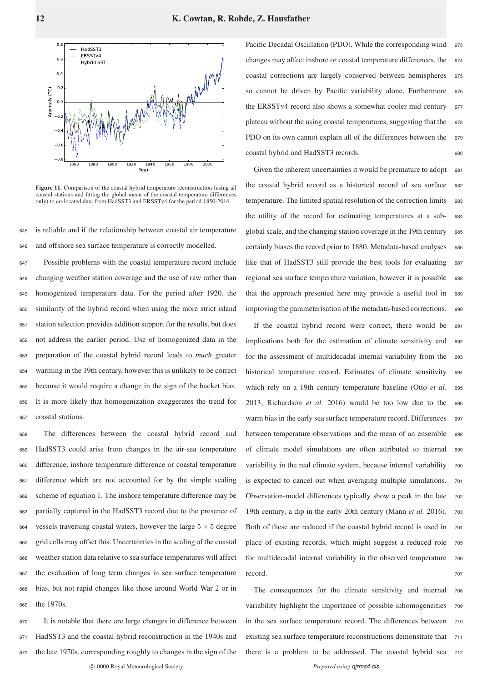

Figure 11. Comparison of the coastal hybrid temperature reconstruction (using all coastal stations and fitting the global mean of the coastal temperature differences only) to co-located data from HadSST3 and ERSSTv4 for the period 1850-2016.

<sup>645</sup> is reliable and if the relationship between coastal air temperature <sup>646</sup> and offshore sea surface temperature is correctly modelled.

 Possible problems with the coastal temperature record include changing weather station coverage and the use of raw rather than homogenized temperature data. For the period after 1920, the similarity of the hybrid record when using the more strict island station selection provides addition support for the results, but does not address the earlier period. Use of homogenized data in the preparation of the coastal hybrid record leads to *much* greater warming in the 19th century, however this is unlikely to be correct because it would require a change in the sign of the bucket bias. It is more likely that homogenization exaggerates the trend for coastal stations.

 The differences between the coastal hybrid record and HadSST3 could arise from changes in the air-sea temperature difference, inshore temperature difference or coastal temperature difference which are not accounted for by the simple scaling scheme of equation 1. The inshore temperature difference may be partially captured in the HadSST3 record due to the presence of 664 vessels traversing coastal waters, however the large  $5 \times 5$  degree grid cells may offset this. Uncertainties in the scaling of the coastal weather station data relative to sea surface temperatures will affect the evaluation of long term changes in sea surface temperature bias, but not rapid changes like those around World War 2 or in the 1970s.

 It is notable that there are large changes in difference between HadSST3 and the coastal hybrid reconstruction in the 1940s and the late 1970s, corresponding roughly to changes in the sign of the c 0000 Royal Meteorological Society *Prepared using qirms4.cls* 

Pacific Decadal Oscillation (PDO). While the corresponding wind changes may affect inshore or coastal temperature differences, the  $674$ coastal corrections are largely conserved between hemispheres 675 so cannot be driven by Pacific variability alone. Furthermore 676 the ERSSTv4 record also shows a somewhat cooler mid-century 677 plateau without the using coastal temperatures, suggesting that the  $678$ PDO on its own cannot explain all of the differences between the 679 coastal hybrid and HadSST3 records. <sup>680</sup>

Given the inherent uncertainties it would be premature to adopt 681 the coastal hybrid record as a historical record of sea surface <sup>682</sup> temperature. The limited spatial resolution of the correction limits 683 the utility of the record for estimating temperatures at a sub- <sup>684</sup> global scale, and the changing station coverage in the 19th century 685 certainly biases the record prior to 1880. Metadata-based analyses 686 like that of HadSST3 still provide the best tools for evaluating 687 regional sea surface temperature variation, however it is possible 688 that the approach presented here may provide a useful tool in <sup>689</sup> improving the parameterisation of the metadata-based corrections. <sup>690</sup>

If the coastal hybrid record were correct, there would be 691 implications both for the estimation of climate sensitivity and <sup>692</sup> for the assessment of multidecadal internal variability from the 693 historical temperature record. Estimates of climate sensitivity 694 which rely on a 19th century temperature baseline (Otto *et al.* 695 2013; Richardson *et al.* 2016) would be too low due to the <sup>696</sup> warm bias in the early sea surface temperature record. Differences 697 between temperature observations and the mean of an ensemble 698 of climate model simulations are often attributed to internal <sup>699</sup> variability in the real climate system, because internal variability 700 is expected to cancel out when averaging multiple simulations. <sup>701</sup> Observation-model differences typically show a peak in the late 702 19th century, a dip in the early 20th century (Mann *et al.* 2016). <sup>703</sup> Both of these are reduced if the coastal hybrid record is used in <sup>704</sup> place of existing records, which might suggest a reduced role <sup>705</sup> for multidecadal internal variability in the observed temperature 706 record. The contract of the contract of the contract of the contract of the contract of the contract of the contract of the contract of the contract of the contract of the contract of the contract of the contract of the co

The consequences for the climate sensitivity and internal <sup>708</sup> variability highlight the importance of possible inhomogeneities 709 in the sea surface temperature record. The differences between <sup>710</sup> existing sea surface temperature reconstructions demonstrate that 711 there is a problem to be addressed. The coastal hybrid sea <sup>712</sup>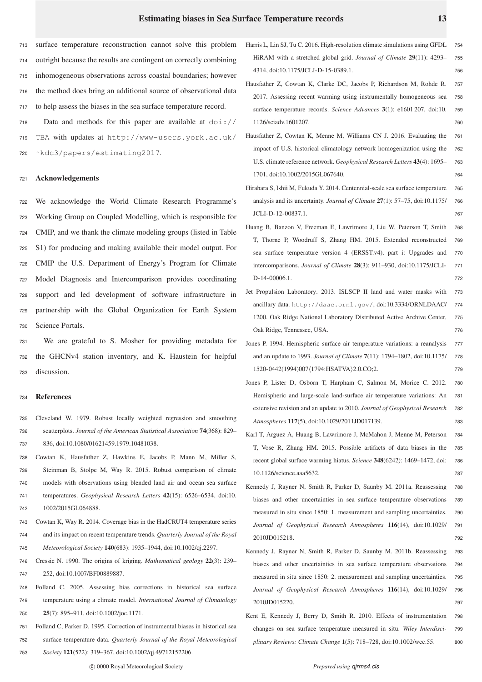surface temperature reconstruction cannot solve this problem outright because the results are contingent on correctly combining inhomogeneous observations across coastal boundaries; however the method does bring an additional source of observational data to help assess the biases in the sea surface temperature record. Data and methods for this paper are available at doi://

<sup>719</sup> TBA with updates at http://www-users.york.ac.uk/ <sup>720</sup> ˜kdc3/papers/estimating2017.

### <sup>721</sup> Acknowledgements

 We acknowledge the World Climate Research Programme's Working Group on Coupled Modelling, which is responsible for CMIP, and we thank the climate modeling groups (listed in Table S1) for producing and making available their model output. For CMIP the U.S. Department of Energy's Program for Climate Model Diagnosis and Intercomparison provides coordinating support and led development of software infrastructure in partnership with the Global Organization for Earth System Science Portals.

<sup>731</sup> We are grateful to S. Mosher for providing metadata for <sup>732</sup> the GHCNv4 station inventory, and K. Haustein for helpful <sup>733</sup> discussion.

#### <sup>734</sup> References

- 735 Cleveland W. 1979. Robust locally weighted regression and smoothing 736 scatterplots. *Journal of the American Statistical Association* 74(368): 829– 737 836, doi:10.1080/01621459.1979.10481038.
- 738 Cowtan K, Hausfather Z, Hawkins E, Jacobs P, Mann M, Miller S, 739 Steinman B, Stolpe M, Way R. 2015. Robust comparison of climate 740 models with observations using blended land air and ocean sea surface 741 temperatures. *Geophysical Research Letters* 42(15): 6526–6534, doi:10. 742 1002/2015GL064888.
- 743 Cowtan K, Way R. 2014. Coverage bias in the HadCRUT4 temperature series 744 and its impact on recent temperature trends. *Quarterly Journal of the Royal* 745 *Meteorological Society* 140(683): 1935–1944, doi:10.1002/qj.2297.
- 746 Cressie N. 1990. The origins of kriging. *Mathematical geology* 22(3): 239– 747 252, doi:10.1007/BF00889887.
- 748 Folland C. 2005. Assessing bias corrections in historical sea surface 749 temperature using a climate model. *International Journal of Climatology* 750 25(7): 895–911, doi:10.1002/joc.1171.
- 751 Folland C, Parker D. 1995. Correction of instrumental biases in historical sea
- 752 surface temperature data. *Quarterly Journal of the Royal Meteorological*
- 753 *Society* 121(522): 319–367, doi:10.1002/qj.49712152206.
- Harris L, Lin SJ, Tu C. 2016. High-resolution climate simulations using GFDL HiRAM with a stretched global grid. *Journal of Climate* 29(11): 4293– 755 4314, doi:10.1175/JCLI-D-15-0389.1. 756
- Hausfather Z, Cowtan K, Clarke DC, Jacobs P, Richardson M, Rohde R. 757 2017. Assessing recent warming using instrumentally homogeneous sea 758 surface temperature records. *Science Advances* 3(1): e1601 207, doi:10. 759 1126/sciadv.1601207. 760
- Hausfather Z, Cowtan K, Menne M, Williams CN J. 2016. Evaluating the 761 impact of U.S. historical climatology network homogenization using the 762 U.S. climate reference network. *Geophysical Research Letters* 43(4): 1695– 763 1701, doi:10.1002/2015GL067640. 764
- Hirahara S, Ishii M, Fukuda Y. 2014. Centennial-scale sea surface temperature 765 analysis and its uncertainty. *Journal of Climate* 27(1): 57–75, doi:10.1175/ 766 JCLI-D-12-00837.1. 767
- Huang B, Banzon V, Freeman E, Lawrimore J, Liu W, Peterson T, Smith 768 T, Thorne P, Woodruff S, Zhang HM. 2015. Extended reconstructed 769 sea surface temperature version 4 (ERSST.v4). part i: Upgrades and 770 intercomparisons. *Journal of Climate* 28(3): 911–930, doi:10.1175/JCLI- 771 D-14-00006.1. 772
- Jet Propulsion Laboratory. 2013. ISLSCP II land and water masks with 773 ancillary data. http://daac.ornl.gov/, doi:10.3334/ORNLDAAC/ 774 1200. Oak Ridge National Laboratory Distributed Active Archive Center, 775 Oak Ridge, Tennessee, USA. 776
- Jones P. 1994. Hemispheric surface air temperature variations: a reanalysis 777 and an update to 1993. *Journal of Climate* 7(11): 1794–1802, doi:10.1175/ 778 1520-0442(1994)007(1794:HSATVA)2.0.CO;2. 779
- Jones P, Lister D, Osborn T, Harpham C, Salmon M, Morice C. 2012. 780 Hemispheric and large-scale land-surface air temperature variations: An 781 extensive revision and an update to 2010. *Journal of Geophysical Research* 782 *Atmospheres* 117(5), doi:10.1029/2011JD017139. 783
- Karl T, Arguez A, Huang B, Lawrimore J, McMahon J, Menne M, Peterson 784 T, Vose R, Zhang HM. 2015. Possible artifacts of data biases in the 785 recent global surface warming hiatus. *Science* 348(6242): 1469–1472, doi: 786 10.1126/science.aaa5632. 787
- Kennedy J, Rayner N, Smith R, Parker D, Saunby M. 2011a. Reassessing 788 biases and other uncertainties in sea surface temperature observations 789 measured in situ since 1850: 1. measurement and sampling uncertainties. 790 *Journal of Geophysical Research Atmospheres* 116(14), doi:10.1029/ 791 2010JD015218. 792
- Kennedy J, Rayner N, Smith R, Parker D, Saunby M. 2011b. Reassessing 793 biases and other uncertainties in sea surface temperature observations 794 measured in situ since 1850: 2. measurement and sampling uncertainties. 795 *Journal of Geophysical Research Atmospheres* 116(14), doi:10.1029/ 796 2010JD015220. 797
- Kent E, Kennedy J, Berry D, Smith R. 2010. Effects of instrumentation 798 changes on sea surface temperature measured in situ. *Wiley Interdisci-* 799 *plinary Reviews: Climate Change* 1(5): 718–728, doi:10.1002/wcc.55. 800